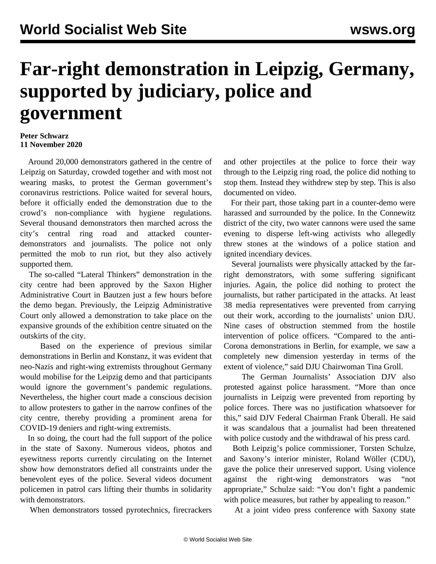## **Far-right demonstration in Leipzig, Germany, supported by judiciary, police and government**

## **Peter Schwarz 11 November 2020**

 Around 20,000 demonstrators gathered in the centre of Leipzig on Saturday, crowded together and with most not wearing masks, to protest the German government's coronavirus restrictions. Police waited for several hours, before it officially ended the demonstration due to the crowd's non-compliance with hygiene regulations. Several thousand demonstrators then marched across the city's central ring road and attacked counterdemonstrators and journalists. The police not only permitted the mob to run riot, but they also actively supported them.

 The so-called "Lateral Thinkers" demonstration in the city centre had been approved by the Saxon Higher Administrative Court in Bautzen just a few hours before the demo began. Previously, the Leipzig Administrative Court only allowed a demonstration to take place on the expansive grounds of the exhibition centre situated on the outskirts of the city.

 Based on the experience of previous similar demonstrations in Berlin and Konstanz, it was evident that neo-Nazis and right-wing extremists throughout Germany would mobilise for the Leipzig demo and that participants would ignore the government's pandemic regulations. Nevertheless, the higher court made a conscious decision to allow protesters to gather in the narrow confines of the city centre, thereby providing a prominent arena for COVID-19 deniers and right-wing extremists.

 In so doing, the court had the full support of the police in the state of Saxony. Numerous videos, photos and eyewitness reports currently circulating on the Internet show how demonstrators defied all constraints under the benevolent eyes of the police. Several videos document policemen in patrol cars lifting their thumbs in solidarity with demonstrators.

When demonstrators tossed pyrotechnics, firecrackers

and other projectiles at the police to force their way through to the Leipzig ring road, the police did nothing to stop them. Instead they withdrew step by step. This is also documented on video.

 For their part, those taking part in a counter-demo were harassed and surrounded by the police. In the Connewitz district of the city, two water cannons were used the same evening to disperse left-wing activists who allegedly threw stones at the windows of a police station and ignited incendiary devices.

 Several journalists were physically attacked by the farright demonstrators, with some suffering significant injuries. Again, the police did nothing to protect the journalists, but rather participated in the attacks. At least 38 media representatives were prevented from carrying out their work, according to the journalists' union DJU. Nine cases of obstruction stemmed from the hostile intervention of police officers. "Compared to the anti-Corona demonstrations in Berlin, for example, we saw a completely new dimension yesterday in terms of the extent of violence," said DJU Chairwoman Tina Groll.

 The German Journalists' Association DJV also protested against police harassment. "More than once journalists in Leipzig were prevented from reporting by police forces. There was no justification whatsoever for this," said DJV Federal Chairman Frank Überall. He said it was scandalous that a journalist had been threatened with police custody and the withdrawal of his press card.

 Both Leipzig's police commissioner, Torsten Schulze, and Saxony's interior minister, Roland Wöller (CDU), gave the police their unreserved support. Using violence against the right-wing demonstrators was "not appropriate," Schulze said: "You don't fight a pandemic with police measures, but rather by appealing to reason."

At a joint video press conference with Saxony state